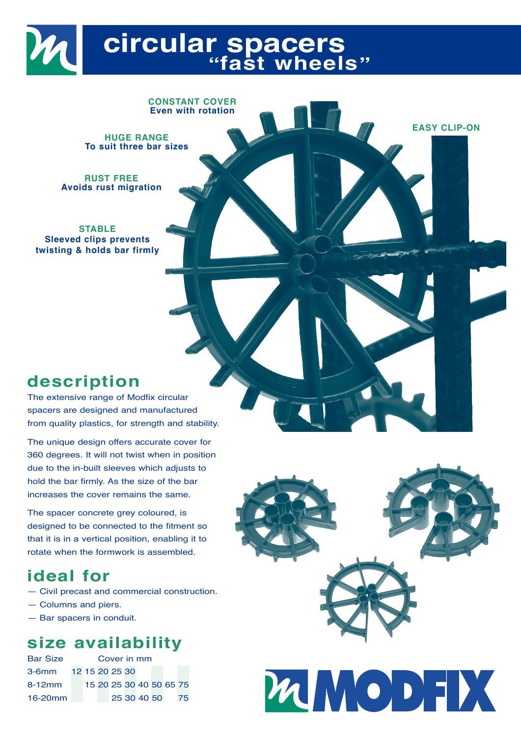# **circular spacers "fast wheels"**

**HUGE RANGE**

**To suit three bar sizes**

**CONSTANT COVER Even with rotation**

**RUST FREE Avoids rust migration**

**STABLE Sleeved clips prevents twisting & holds bar firmly**

# **description**

The extensive range of Modfix circular spacers are designed and manufactured from quality plastics, for strength and stability.

The unique design offers accurate cover for 360 degrees. It will not twist when in position due to the in-built sleeves which adjusts to hold the bar firmly. As the size of the bar increases the cover remains the same.

The spacer concrete grey coloured, is designed to be connected to the fitment so that it is in a vertical position, enabling it to rotate when the formwork is assembled.

# **ideal for**

- Civil precast and commercial construction.
- Columns and piers.
- Bar spacers in conduit.

## **size availability**

| <b>Bar Size</b> | Cover in mm |  |  |                         |  |             |  |  |    |
|-----------------|-------------|--|--|-------------------------|--|-------------|--|--|----|
| 3-6mm           |             |  |  | 12 15 20 25 30          |  |             |  |  |    |
| 8-12mm          |             |  |  | 15 20 25 30 40 50 65 75 |  |             |  |  |    |
| 16-20mm         |             |  |  |                         |  | 25 30 40 50 |  |  | 75 |



**EASY CLIP-ON**